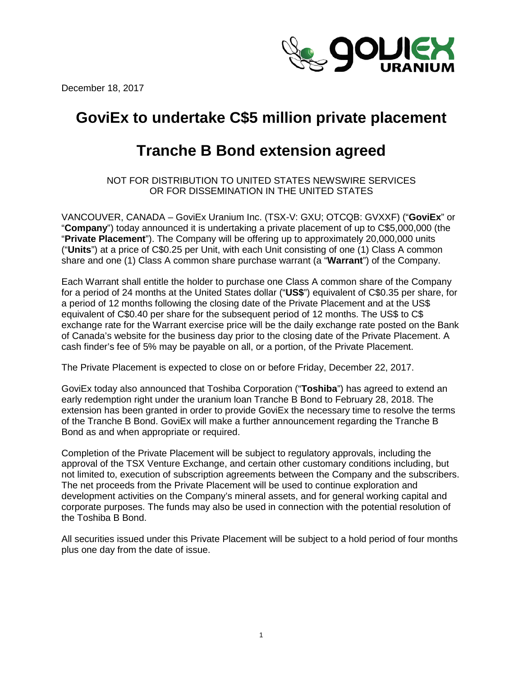December 18, 2017



# **GoviEx to undertake C\$5 million private placement**

# **Tranche B Bond extension agreed**

NOT FOR DISTRIBUTION TO UNITED STATES NEWSWIRE SERVICES OR FOR DISSEMINATION IN THE UNITED STATES

VANCOUVER, CANADA – GoviEx Uranium Inc. (TSX-V: GXU; OTCQB: GVXXF) ("**GoviEx**" or "**Company**") today announced it is undertaking a private placement of up to C\$5,000,000 (the "**Private Placement**"). The Company will be offering up to approximately 20,000,000 units ("**Units**") at a price of C\$0.25 per Unit, with each Unit consisting of one (1) Class A common share and one (1) Class A common share purchase warrant (a "**Warrant**") of the Company.

Each Warrant shall entitle the holder to purchase one Class A common share of the Company for a period of 24 months at the United States dollar ("**US\$**") equivalent of C\$0.35 per share, for a period of 12 months following the closing date of the Private Placement and at the US\$ equivalent of C\$0.40 per share for the subsequent period of 12 months. The US\$ to C\$ exchange rate for the Warrant exercise price will be the daily exchange rate posted on the Bank of Canada's website for the business day prior to the closing date of the Private Placement. A cash finder's fee of 5% may be payable on all, or a portion, of the Private Placement.

The Private Placement is expected to close on or before Friday, December 22, 2017.

GoviEx today also announced that Toshiba Corporation ("**Toshiba**") has agreed to extend an early redemption right under the uranium loan Tranche B Bond to February 28, 2018. The extension has been granted in order to provide GoviEx the necessary time to resolve the terms of the Tranche B Bond. GoviEx will make a further announcement regarding the Tranche B Bond as and when appropriate or required.

Completion of the Private Placement will be subject to regulatory approvals, including the approval of the TSX Venture Exchange, and certain other customary conditions including, but not limited to, execution of subscription agreements between the Company and the subscribers. The net proceeds from the Private Placement will be used to continue exploration and development activities on the Company's mineral assets, and for general working capital and corporate purposes. The funds may also be used in connection with the potential resolution of the Toshiba B Bond.

All securities issued under this Private Placement will be subject to a hold period of four months plus one day from the date of issue.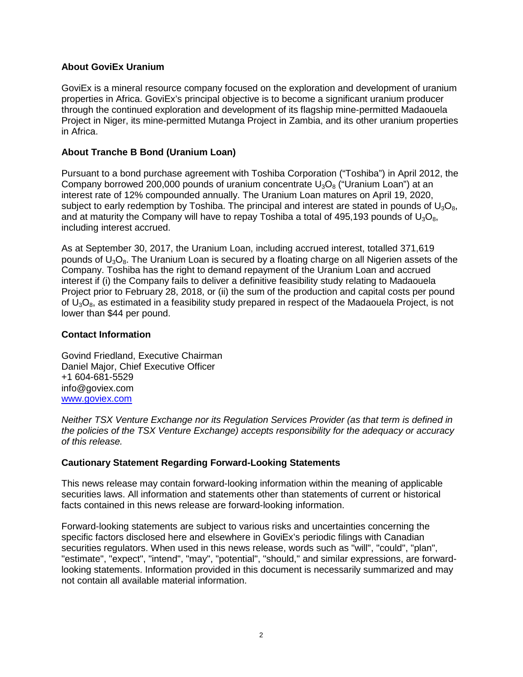### **About GoviEx Uranium**

GoviEx is a mineral resource company focused on the exploration and development of uranium properties in Africa. GoviEx's principal objective is to become a significant uranium producer through the continued exploration and development of its flagship mine-permitted Madaouela Project in Niger, its mine-permitted Mutanga Project in Zambia, and its other uranium properties in Africa.

### **About Tranche B Bond (Uranium Loan)**

Pursuant to a bond purchase agreement with Toshiba Corporation ("Toshiba") in April 2012, the Company borrowed 200,000 pounds of uranium concentrate  $U_3O_8$  ("Uranium Loan") at an interest rate of 12% compounded annually. The Uranium Loan matures on April 19, 2020, subject to early redemption by Toshiba. The principal and interest are stated in pounds of  $U_3O_8$ , and at maturity the Company will have to repay Toshiba a total of 495,193 pounds of  $U_3O_8$ , including interest accrued.

As at September 30, 2017, the Uranium Loan, including accrued interest, totalled 371,619 pounds of  $U_3O_8$ . The Uranium Loan is secured by a floating charge on all Nigerien assets of the Company. Toshiba has the right to demand repayment of the Uranium Loan and accrued interest if (i) the Company fails to deliver a definitive feasibility study relating to Madaouela Project prior to February 28, 2018, or (ii) the sum of the production and capital costs per pound of  $U_3O_8$ , as estimated in a feasibility study prepared in respect of the Madaouela Project, is not lower than \$44 per pound.

### **Contact Information**

Govind Friedland, Executive Chairman Daniel Major, Chief Executive Officer +1 604-681-5529 [info@goviex.com](mailto:info@goviex.com) [www.goviex.com](http://www.goviex.com/)

*Neither TSX Venture Exchange nor its Regulation Services Provider (as that term is defined in the policies of the TSX Venture Exchange) accepts responsibility for the adequacy or accuracy of this release.* 

## **Cautionary Statement Regarding Forward-Looking Statements**

This news release may contain forward-looking information within the meaning of applicable securities laws. All information and statements other than statements of current or historical facts contained in this news release are forward-looking information.

Forward-looking statements are subject to various risks and uncertainties concerning the specific factors disclosed here and elsewhere in GoviEx's periodic filings with Canadian securities regulators. When used in this news release, words such as "will", "could", "plan", "estimate", "expect", "intend", "may", "potential", "should," and similar expressions, are forwardlooking statements. Information provided in this document is necessarily summarized and may not contain all available material information.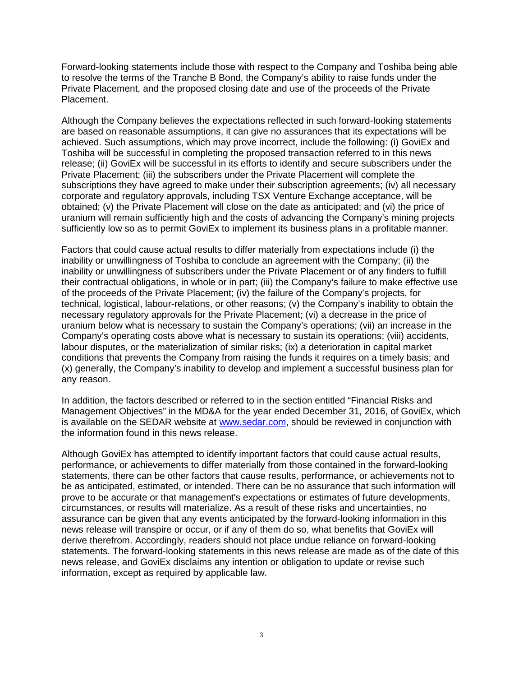Forward-looking statements include those with respect to the Company and Toshiba being able to resolve the terms of the Tranche B Bond, the Company's ability to raise funds under the Private Placement, and the proposed closing date and use of the proceeds of the Private Placement.

Although the Company believes the expectations reflected in such forward-looking statements are based on reasonable assumptions, it can give no assurances that its expectations will be achieved. Such assumptions, which may prove incorrect, include the following: (i) GoviEx and Toshiba will be successful in completing the proposed transaction referred to in this news release; (ii) GoviEx will be successful in its efforts to identify and secure subscribers under the Private Placement; (iii) the subscribers under the Private Placement will complete the subscriptions they have agreed to make under their subscription agreements; (iv) all necessary corporate and regulatory approvals, including TSX Venture Exchange acceptance, will be obtained; (v) the Private Placement will close on the date as anticipated; and (vi) the price of uranium will remain sufficiently high and the costs of advancing the Company's mining projects sufficiently low so as to permit GoviEx to implement its business plans in a profitable manner.

Factors that could cause actual results to differ materially from expectations include (i) the inability or unwillingness of Toshiba to conclude an agreement with the Company; (ii) the inability or unwillingness of subscribers under the Private Placement or of any finders to fulfill their contractual obligations, in whole or in part; (iii) the Company's failure to make effective use of the proceeds of the Private Placement; (iv) the failure of the Company's projects, for technical, logistical, labour-relations, or other reasons; (v) the Company's inability to obtain the necessary regulatory approvals for the Private Placement; (vi) a decrease in the price of uranium below what is necessary to sustain the Company's operations; (vii) an increase in the Company's operating costs above what is necessary to sustain its operations; (viii) accidents, labour disputes, or the materialization of similar risks; (ix) a deterioration in capital market conditions that prevents the Company from raising the funds it requires on a timely basis; and (x) generally, the Company's inability to develop and implement a successful business plan for any reason.

In addition, the factors described or referred to in the section entitled "Financial Risks and Management Objectives" in the MD&A for the year ended December 31, 2016, of GoviEx, which is available on the SEDAR website at [www.sedar.com,](http://www.sedar.com/) should be reviewed in conjunction with the information found in this news release.

Although GoviEx has attempted to identify important factors that could cause actual results, performance, or achievements to differ materially from those contained in the forward-looking statements, there can be other factors that cause results, performance, or achievements not to be as anticipated, estimated, or intended. There can be no assurance that such information will prove to be accurate or that management's expectations or estimates of future developments, circumstances, or results will materialize. As a result of these risks and uncertainties, no assurance can be given that any events anticipated by the forward-looking information in this news release will transpire or occur, or if any of them do so, what benefits that GoviEx will derive therefrom. Accordingly, readers should not place undue reliance on forward-looking statements. The forward-looking statements in this news release are made as of the date of this news release, and GoviEx disclaims any intention or obligation to update or revise such information, except as required by applicable law.